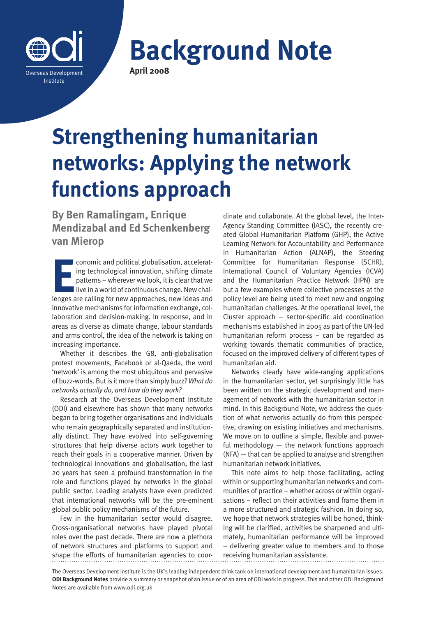

**Background Note April 2008**

# **Strengthening humanitarian networks: Applying the network functions approach**

**By Ben Ramalingam, Enrique Mendizabal and Ed Schenkenberg van Mierop**

conomic and political globalisation, accelerating technological innovation, shifting climate patterns – wherever we look, it is clear that we live in a world of continuous change. New challenges are calling for new approac conomic and political globalisation, accelerating technological innovation, shifting climate patterns – wherever we look, it is clear that we  $\blacksquare$  live in a world of continuous change. New chalinnovative mechanisms for information exchange, collaboration and decision-making. In response, and in areas as diverse as climate change, labour standards and arms control, the idea of the network is taking on increasing importance.

Whether it describes the G8, anti-globalisation protest movements, Facebook or al-Qaeda, the word 'network' is among the most ubiquitous and pervasive of buzz-words. But is it more than simply buzz? *What do networks actually do, and how do they work?*

Research at the Overseas Development Institute (ODI) and elsewhere has shown that many networks began to bring together organisations and individuals who remain geographically separated and institutionally distinct. They have evolved into self-governing structures that help diverse actors work together to reach their goals in a cooperative manner. Driven by technological innovations and globalisation, the last 20 years has seen a profound transformation in the role and functions played by networks in the global public sector. Leading analysts have even predicted that international networks will be the pre-eminent global public policy mechanisms of the future.

Few in the humanitarian sector would disagree. Cross-organisational networks have played pivotal roles over the past decade. There are now a plethora of network structures and platforms to support and shape the efforts of humanitarian agencies to coor-

dinate and collaborate. At the global level, the Inter-Agency Standing Committee (IASC), the recently created Global Humanitarian Platform (GHP), the Active Learning Network for Accountability and Performance in Humanitarian Action (ALNAP), the Steering Committee for Humanitarian Response (SCHR), International Council of Voluntary Agencies (ICVA) and the Humanitarian Practice Network (HPN) are but a few examples where collective processes at the policy level are being used to meet new and ongoing humanitarian challenges. At the operational level, the Cluster approach – sector-specific aid coordination mechanisms established in 2005 as part of the UN-led humanitarian reform process – can be regarded as working towards thematic communities of practice, focused on the improved delivery of different types of humanitarian aid.

Networks clearly have wide-ranging applications in the humanitarian sector, yet surprisingly little has been written on the strategic development and management of networks with the humanitarian sector in mind. In this Background Note, we address the question of what networks actually do from this perspective, drawing on existing initiatives and mechanisms. We move on to outline a simple, flexible and powerful methodology — the network functions approach (NFA) — that can be applied to analyse and strengthen humanitarian network initiatives.

This note aims to help those facilitating, acting within or supporting humanitarian networks and communities of practice – whether across or within organisations – reflect on their activities and frame them in a more structured and strategic fashion. In doing so, we hope that network strategies will be honed, thinking will be clarified, activities be sharpened and ultimately, humanitarian performance will be improved – delivering greater value to members and to those receiving humanitarian assistance.

The Overseas Development Institute is the UK's leading independent think tank on international development and humanitarian issues. **ODI Background Notes** provide a summary or snapshot of an issue or of an area of ODI work in progress. This and other ODI Background Notes are available from www.odi.org.uk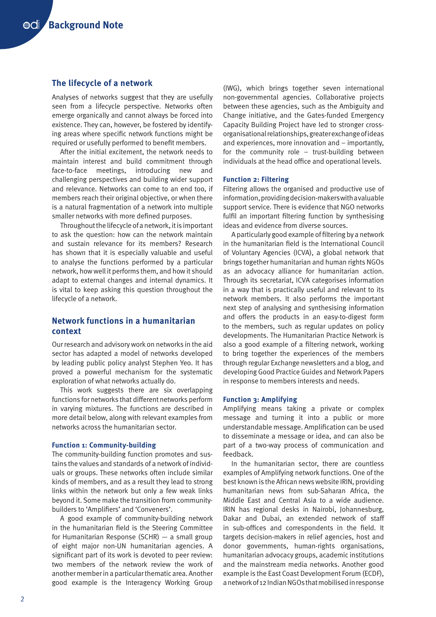## **The lifecycle of a network**

Analyses of networks suggest that they are usefully seen from a lifecycle perspective. Networks often emerge organically and cannot always be forced into existence. They can, however, be fostered by identifying areas where specific network functions might be required or usefully performed to benefit members.

After the initial excitement, the network needs to maintain interest and build commitment through face-to-face meetings, introducing new and challenging perspectives and building wider support and relevance. Networks can come to an end too, if members reach their original objective, or when there is a natural fragmentation of a network into multiple smaller networks with more defined purposes.

Throughout the lifecycle of a network, it is important to ask the question: how can the network maintain and sustain relevance for its members? Research has shown that it is especially valuable and useful to analyse the functions performed by a particular network, how well it performs them, and how it should adapt to external changes and internal dynamics. It is vital to keep asking this question throughout the lifecycle of a network.

## **Network functions in a humanitarian context**

Our research and advisory work on networks in the aid sector has adapted a model of networks developed by leading public policy analyst Stephen Yeo. It has proved a powerful mechanism for the systematic exploration of what networks actually do.

This work suggests there are six overlapping functions for networks that different networks perform in varying mixtures. The functions are described in more detail below, along with relevant examples from networks across the humanitarian sector.

#### **Function 1: Community-building**

The community-building function promotes and sustains the values and standards of a network of individuals or groups. These networks often include similar kinds of members, and as a result they lead to strong links within the network but only a few weak links beyond it. Some make the transition from communitybuilders to 'Amplifiers' and 'Conveners'.

A good example of community-building network in the humanitarian field is the Steering Committee for Humanitarian Response (SCHR) — a small group of eight major non-UN humanitarian agencies. A significant part of its work is devoted to peer review: two members of the network review the work of another member in a particular thematic area. Another good example is the Interagency Working Group

(IWG), which brings together seven international non-governmental agencies. Collaborative projects between these agencies, such as the Ambiguity and Change initiative, and the Gates-funded Emergency Capacity Building Project have led to stronger crossorganisational relationships, greater exchange of ideas and experiences, more innovation and – importantly, for the community role – trust-building between individuals at the head office and operational levels.

#### **Function 2: Filtering**

Filtering allows the organised and productive use of information, providing decision-makers with a valuable support service. There is evidence that NGO networks fulfil an important filtering function by synthesising ideas and evidence from diverse sources.

A particularly good example of filtering by a network in the humanitarian field is the International Council of Voluntary Agencies (ICVA), a global network that brings together humanitarian and human rights NGOs as an advocacy alliance for humanitarian action. Through its secretariat, ICVA categorises information in a way that is practically useful and relevant to its network members. It also performs the important next step of analysing and synthesising information and offers the products in an easy-to-digest form to the members, such as regular updates on policy developments. The Humanitarian Practice Network is also a good example of a filtering network, working to bring together the experiences of the members through regular Exchange newsletters and a blog, and developing Good Practice Guides and Network Papers in response to members interests and needs.

#### **Function 3: Amplifying**

Amplifying means taking a private or complex message and turning it into a public or more understandable message. Amplification can be used to disseminate a message or idea, and can also be part of a two-way process of communication and feedback.

In the humanitarian sector, there are countless examples of Amplifying network functions. One of the best known is the African news website IRIN, providing humanitarian news from sub-Saharan Africa, the Middle East and Central Asia to a wide audience. IRIN has regional desks in Nairobi, Johannesburg, Dakar and Dubai, an extended network of staff in sub-offices and correspondents in the field. It targets decision-makers in relief agencies, host and donor governments, human-rights organisations, humanitarian advocacy groups, academic institutions and the mainstream media networks. Another good example is the East Coast Development Forum (ECDF), a network of 12 Indian NGOs that mobilised in response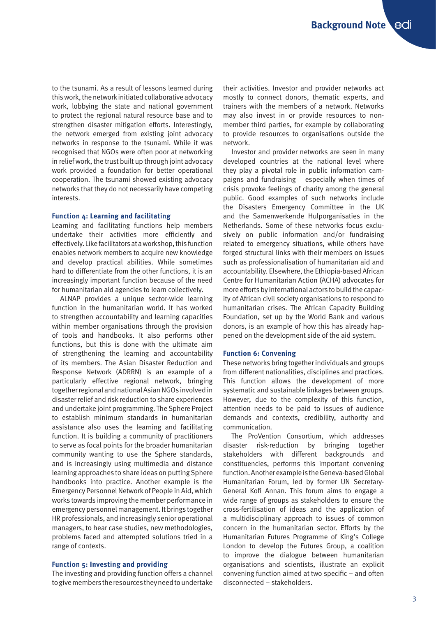to the tsunami. As a result of lessons learned during this work, the network initiated collaborative advocacy work, lobbying the state and national government to protect the regional natural resource base and to strengthen disaster mitigation efforts. Interestingly, the network emerged from existing joint advocacy networks in response to the tsunami. While it was recognised that NGOs were often poor at networking in relief work, the trust built up through joint advocacy work provided a foundation for better operational cooperation. The tsunami showed existing advocacy networks that they do not necessarily have competing interests.

#### **Function 4: Learning and facilitating**

Learning and facilitating functions help members undertake their activities more efficiently and effectively. Like facilitators at a workshop, this function enables network members to acquire new knowledge and develop practical abilities. While sometimes hard to differentiate from the other functions, it is an increasingly important function because of the need for humanitarian aid agencies to learn collectively.

ALNAP provides a unique sector-wide learning function in the humanitarian world. It has worked to strengthen accountability and learning capacities within member organisations through the provision of tools and handbooks. It also performs other functions, but this is done with the ultimate aim of strengthening the learning and accountability of its members. The Asian Disaster Reduction and Response Network (ADRRN) is an example of a particularly effective regional network, bringing together regional and national Asian NGOs involved in disaster relief and risk reduction to share experiences and undertake joint programming. The Sphere Project to establish minimum standards in humanitarian assistance also uses the learning and facilitating function. It is building a community of practitioners to serve as focal points for the broader humanitarian community wanting to use the Sphere standards, and is increasingly using multimedia and distance learning approaches to share ideas on putting Sphere handbooks into practice. Another example is the Emergency Personnel Network of People in Aid, which works towards improving the member performance in emergency personnel management. It brings together HR professionals, and increasingly senior operational managers, to hear case studies, new methodologies, problems faced and attempted solutions tried in a range of contexts.

#### **Function 5: Investing and providing**

The investing and providing function offers a channel to give members the resources they need to undertake their activities. Investor and provider networks act mostly to connect donors, thematic experts, and trainers with the members of a network. Networks may also invest in or provide resources to nonmember third parties, for example by collaborating to provide resources to organisations outside the network.

Investor and provider networks are seen in many developed countries at the national level where they play a pivotal role in public information campaigns and fundraising – especially when times of crisis provoke feelings of charity among the general public. Good examples of such networks include the Disasters Emergency Committee in the UK and the Samenwerkende Hulporganisaties in the Netherlands. Some of these networks focus exclusively on public information and/or fundraising related to emergency situations, while others have forged structural links with their members on issues such as professionalisation of humanitarian aid and accountability. Elsewhere, the Ethiopia-based African Centre for Humanitarian Action (ACHA) advocates for more efforts by international actors to build the capacity of African civil society organisations to respond to humanitarian crises. The African Capacity Building Foundation, set up by the World Bank and various donors, is an example of how this has already happened on the development side of the aid system.

#### **Function 6: Convening**

These networks bring together individuals and groups from different nationalities, disciplines and practices. This function allows the development of more systematic and sustainable linkages between groups. However, due to the complexity of this function, attention needs to be paid to issues of audience demands and contexts, credibility, authority and communication.

The ProVention Consortium, which addresses disaster risk-reduction by bringing together stakeholders with different backgrounds and constituencies, performs this important convening function. Another example is the Geneva-based Global Humanitarian Forum, led by former UN Secretary-General Kofi Annan. This forum aims to engage a wide range of groups as stakeholders to ensure the cross-fertilisation of ideas and the application of a multidisciplinary approach to issues of common concern in the humanitarian sector. Efforts by the Humanitarian Futures Programme of King's College London to develop the Futures Group, a coalition to improve the dialogue between humanitarian organisations and scientists, illustrate an explicit convening function aimed at two specific – and often disconnected – stakeholders.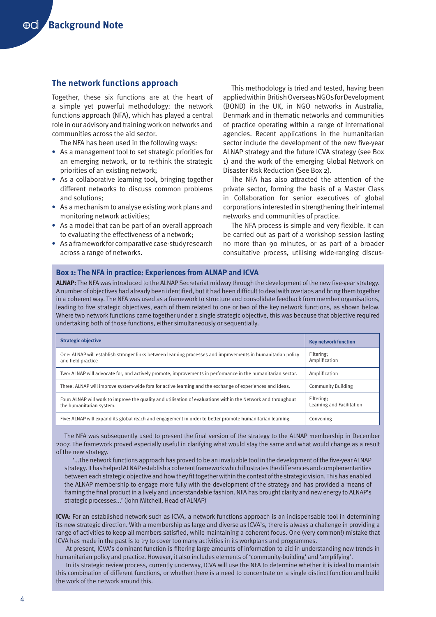## **The network functions approach**

Together, these six functions are at the heart of a simple yet powerful methodology: the network functions approach (NFA), which has played a central role in our advisory and training work on networks and communities across the aid sector.

The NFA has been used in the following ways:

- **•** As a management tool to set strategic priorities for an emerging network, or to re-think the strategic priorities of an existing network;
- **•** As a collaborative learning tool, bringing together different networks to discuss common problems and solutions;
- **•** As a mechanism to analyse existing work plans and monitoring network activities;
- **•** As a model that can be part of an overall approach to evaluating the effectiveness of a network;
- **•** As a framework for comparative case-study research across a range of networks.

This methodology is tried and tested, having been applied within British Overseas NGOs for Development (BOND) in the UK, in NGO networks in Australia, Denmark and in thematic networks and communities of practice operating within a range of international agencies. Recent applications in the humanitarian sector include the development of the new five-year ALNAP strategy and the future ICVA strategy (see Box 1) and the work of the emerging Global Network on Disaster Risk Reduction (See Box 2).

The NFA has also attracted the attention of the private sector, forming the basis of a Master Class in Collaboration for senior executives of global corporations interested in strengthening their internal networks and communities of practice.

The NFA process is simple and very flexible. It can be carried out as part of a workshop session lasting no more than 90 minutes, or as part of a broader consultative process, utilising wide-ranging discus-

### **Box 1: The NFA in practice: Experiences from ALNAP and ICVA**

**ALNAP:** The NFA was introduced to the ALNAP Secretariat midway through the development of the new five-year strategy. A number of objectives had already been identified, but it had been difficult to deal with overlaps and bring them together in a coherent way. The NFA was used as a framework to structure and consolidate feedback from member organisations, leading to five strategic objectives, each of them related to one or two of the key network functions, as shown below. Where two network functions came together under a single strategic objective, this was because that objective required undertaking both of those functions, either simultaneously or sequentially.

| <b>Strategic objective</b>                                                                                                                | <b>Key network function</b>             |
|-------------------------------------------------------------------------------------------------------------------------------------------|-----------------------------------------|
| One: ALNAP will establish stronger links between learning processes and improvements in humanitarian policy<br>and field practice         | Filtering:<br>Amplification             |
| Two: ALNAP will advocate for, and actively promote, improvements in performance in the humanitarian sector.                               | Amplification                           |
| Three: ALNAP will improve system-wide fora for active learning and the exchange of experiences and ideas.                                 | <b>Community Building</b>               |
| Four: ALNAP will work to improve the quality and utilisation of evaluations within the Network and throughout<br>the humanitarian system. | Filtering:<br>Learning and Facilitation |
| Five: ALNAP will expand its global reach and engagement in order to better promote humanitarian learning.                                 | Convening                               |

The NFA was subsequently used to present the final version of the strategy to the ALNAP membership in December 2007. The framework proved especially useful in clarifying what would stay the same and what would change as a result of the new strategy.

'...The network functions approach has proved to be an invaluable tool in the development of the five-year ALNAP strategy. It has helped ALNAP establish a coherent framework which illustrates the differences and complementarities between each strategic objective and how they fit together within the context of the strategic vision. This has enabled the ALNAP membership to engage more fully with the development of the strategy and has provided a means of framing the final product in a lively and understandable fashion. NFA has brought clarity and new energy to ALNAP's strategic processes...' (John Mitchell, Head of ALNAP)

**ICVA:** For an established network such as ICVA, a network functions approach is an indispensable tool in determining its new strategic direction. With a membership as large and diverse as ICVA's, there is always a challenge in providing a range of activities to keep all members satisfied, while maintaining a coherent focus. One (very common!) mistake that ICVA has made in the past is to try to cover too many activities in its workplans and programmes.

 At present, ICVA's dominant function is filtering large amounts of information to aid in understanding new trends in humanitarian policy and practice. However, it also includes elements of 'community-building' and 'amplifying'.

 In its strategic review process, currently underway, ICVA will use the NFA to determine whether it is ideal to maintain this combination of different functions, or whether there is a need to concentrate on a single distinct function and build the work of the network around this.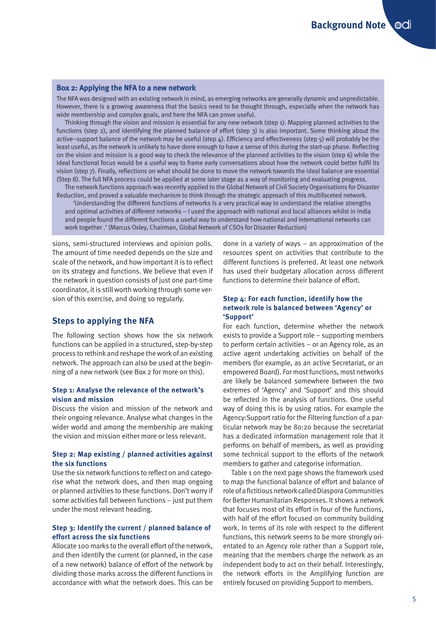#### **Box 2: Applying the NFA to a new network**

The NFA was designed with an existing network in mind, as emerging networks are generally dynamic and unpredictable. However, there is a growing awareness that the basics need to be thought through, especially when the network has wide membership and complex goals, and here the NFA can prove useful.

Thinking through the vision and mission is essential for any new network (step 1). Mapping planned activities to the functions (step 2), and identifying the planned balance of effort (step 3) is also important. Some thinking about the active–support balance of the network may be useful (step 4). Efficiency and effectiveness (step 5) will probably be the least useful, as the network is unlikely to have done enough to have a sense of this during the start-up phase. Reflecting on the vision and mission is a good way to check the relevance of the planned activities to the vision (step 6) while the ideal functional focus would be a useful way to frame early conversations about how the network could better fulfil its vision (step 7). Finally, reflections on what should be done to move the network towards the ideal balance are essential (Step 8). The full NFA process could be applied at some later stage as a way of monitoring and evaluating progress.

The network functions approach was recently applied to the Global Network of Civil Society Organisations for Disaster Reduction, and proved a valuable mechanism to think through the strategic approach of this multifaceted network.

'Understanding the different functions of networks is a very practical way to understand the relative strengths and optimal activities of different networks – I used the approach with national and local alliances whilst in India and people found the different functions a useful way to understand how national and international networks can work together .' (Marcus Oxley, Chairman, Global Network of CSOs for Disaster Reduction)

sions, semi-structured interviews and opinion polls. The amount of time needed depends on the size and scale of the network, and how important it is to reflect on its strategy and functions. We believe that even if the network in question consists of just one part-time coordinator, it is still worth working through some version of this exercise, and doing so regularly.

#### **Steps to applying the NFA**

The following section shows how the six network functions can be applied in a structured, step-by-step process to rethink and reshape the work of an existing network. The approach can also be used at the beginning of a new network (see Box 2 for more on this).

#### **Step 1: Analyse the relevance of the network's vision and mission**

Discuss the vision and mission of the network and their ongoing relevance. Analyse what changes in the wider world and among the membership are making the vision and mission either more or less relevant.

#### **Step 2: Map existing / planned activities against the six functions**

Use the six network functions to reflect on and categorise what the network does, and then map ongoing or planned activities to these functions. Don't worry if some activities fall between functions – just put them under the most relevant heading.

#### **Step 3: Identify the current / planned balance of effort across the six functions**

Allocate 100 marks to the overall effort of the network, and then identify the current (or planned, in the case of a new network) balance of effort of the network by dividing those marks across the different functions in accordance with what the network does. This can be

done in a variety of ways – an approximation of the resources spent on activities that contribute to the different functions is preferred. At least one network has used their budgetary allocation across different functions to determine their balance of effort.

#### **Step 4: For each function, identify how the network role is balanced between 'Agency' or 'Support'**

For each function, determine whether the network exists to provide a Support role – supporting members to perform certain activities – or an Agency role, as an active agent undertaking activities on behalf of the members (for example, as an active Secretariat, or an empowered Board). For most functions, most networks are likely be balanced somewhere between the two extremes of 'Agency' and 'Support' and this should be reflected in the analysis of functions. One useful way of doing this is by using ratios. For example the Agency:Support ratio for the Filtering function of a particular network may be 80:20 because the secretariat has a dedicated information management role that it performs on behalf of members, as well as providing some technical support to the efforts of the network members to gather and categorise information.

Table 1 on the next page shows the framework used to map the functional balance of effort and balance of role of a fictitious network called Diaspora Communities for Better Humanitarian Responses. It shows a network that focuses most of its effort in four of the functions, with half of the effort focused on community building work. In terms of its role with respect to the different functions, this network seems to be more strongly orientated to an Agency role rather than a Support role, meaning that the members charge the network as an independent body to act on their behalf. Interestingly, the network efforts in the Amplifying function are entirely focused on providing Support to members.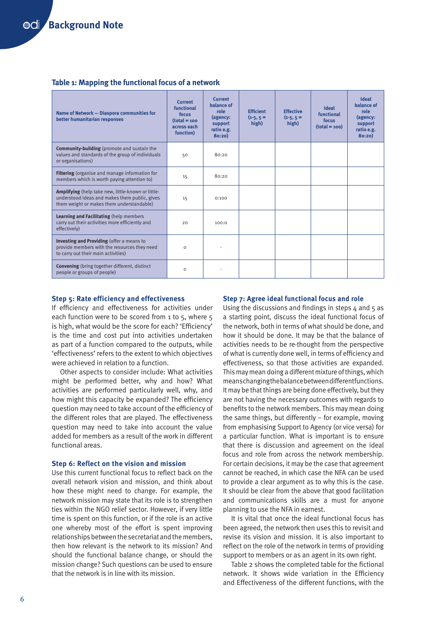#### **Table 1: Mapping the functional focus of a network**

| Name of Network - Diaspora communities for<br>better humanitarian responses                                                                      | Current<br>functional<br>focus<br>$(total = 100$<br>across each<br>function) | Current<br>balance of<br>role<br>(agency:<br>support<br>ratio e.g.<br>80:20 | <b>Efficient</b><br>$(1-5, 5)$<br>high) | <b>Effective</b><br>$(1-5, 5)$<br>high) | <b>Ideal</b><br>functional<br>focus<br>$(total = 100)$ | <b>Ideal</b><br>balance of<br>role<br>(agency:<br>support<br>ratio e.g.<br>80:20 |
|--------------------------------------------------------------------------------------------------------------------------------------------------|------------------------------------------------------------------------------|-----------------------------------------------------------------------------|-----------------------------------------|-----------------------------------------|--------------------------------------------------------|----------------------------------------------------------------------------------|
| <b>Community-building</b> (promote and sustain the<br>values and standards of the group of individuals<br>or organisations)                      | 50                                                                           | 80:20                                                                       |                                         |                                         |                                                        |                                                                                  |
| Filtering (organise and manage information for<br>members which is worth paying attention to)                                                    | 15                                                                           | 80:20                                                                       |                                         |                                         |                                                        |                                                                                  |
| Amplifying (help take new, little-known or little-<br>understood ideas and makes them public, gives<br>them weight or makes them understandable) | 15                                                                           | 0:100                                                                       |                                         |                                         |                                                        |                                                                                  |
| Learning and Facilitating (help members<br>carry out their activities more efficiently and<br>effectively)                                       | 20                                                                           | 100:0                                                                       |                                         |                                         |                                                        |                                                                                  |
| Investing and Providing (offer a means to<br>provide members with the resources they need<br>to carry out their main activities)                 | $\Omega$                                                                     |                                                                             |                                         |                                         |                                                        |                                                                                  |
| <b>Convening</b> (bring together different, distinct<br>people or groups of people)                                                              | $\Omega$                                                                     |                                                                             |                                         |                                         |                                                        |                                                                                  |

#### **Step 5: Rate efficiency and effectiveness**

If efficiency and effectiveness for activities under each function were to be scored from 1 to 5, where 5 is high, what would be the score for each? 'Efficiency' is the time and cost put into activities undertaken as part of a function compared to the outputs, while 'effectiveness' refers to the extent to which objectives were achieved in relation to a function.

Other aspects to consider include: What activities might be performed better, why and how? What activities are performed particularly well, why, and how might this capacity be expanded? The efficiency question may need to take account of the efficiency of the different roles that are played. The effectiveness question may need to take into account the value added for members as a result of the work in different functional areas.

#### **Step 6: Reflect on the vision and mission**

Use this current functional focus to reflect back on the overall network vision and mission, and think about how these might need to change. For example, the network mission may state that its role is to strengthen ties within the NGO relief sector. However, if very little time is spent on this function, or if the role is an active one whereby most of the effort is spent improving relationships between the secretariat and the members, then how relevant is the network to its mission? And should the functional balance change, or should the mission change? Such questions can be used to ensure that the network is in line with its mission.

#### **Step 7: Agree ideal functional focus and role**

Using the discussions and findings in steps 4 and 5 as a starting point, discuss the ideal functional focus of the network, both in terms of what should be done, and how it should be done. It may be that the balance of activities needs to be re-thought from the perspective of what is currently done well, in terms of efficiency and effectiveness, so that those activities are expanded. This may mean doing a different mixture of things, which means changing the balance between different functions. It may be that things are being done effectively, but they are not having the necessary outcomes with regards to benefits to the network members. This may mean doing the same things, but differently – for example, moving from emphasising Support to Agency (or vice versa) for a particular function. What is important is to ensure that there is discussion and agreement on the ideal focus and role from across the network membership. For certain decisions, it may be the case that agreement cannot be reached, in which case the NFA can be used to provide a clear argument as to why this is the case. It should be clear from the above that good facilitation and communications skills are a must for anyone planning to use the NFA in earnest.

It is vital that once the ideal functional focus has been agreed, the network then uses this to revisit and revise its vision and mission. It is also important to reflect on the role of the network in terms of providing support to members or as an agent in its own right.

Table 2 shows the completed table for the fictional network. It shows wide variation in the Efficiency and Effectiveness of the different functions, with the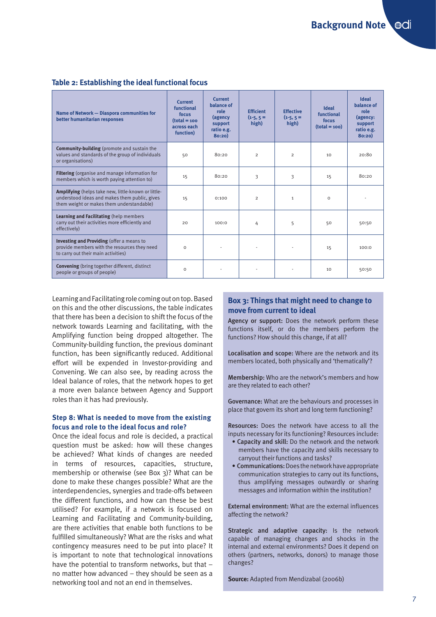#### **Table 2: Establishing the ideal functional focus**

| Name of Network - Diaspora communities for<br>better humanitarian responses                                                                       | Current<br>functional<br>focus<br>$(total = 100$<br>across each<br>function) | Current<br>balance of<br>role<br>(agency<br>support<br>ratio e.g.<br>80:20 | <b>Efficient</b><br>$(1-5, 5)$<br>high) | <b>Effective</b><br>$(1-5, 5)$<br>high) | <b>Ideal</b><br>functional<br>focus<br>$(total = 100)$ | <b>Ideal</b><br>balance of<br>role<br>(agency:<br>support<br>ratio e.g.<br>80:20) |
|---------------------------------------------------------------------------------------------------------------------------------------------------|------------------------------------------------------------------------------|----------------------------------------------------------------------------|-----------------------------------------|-----------------------------------------|--------------------------------------------------------|-----------------------------------------------------------------------------------|
| <b>Community-building</b> (promote and sustain the<br>values and standards of the group of individuals<br>or organisations)                       | 50                                                                           | 80:20                                                                      | $\overline{2}$                          | $\overline{2}$                          | 10                                                     | 20:80                                                                             |
| Filtering (organise and manage information for<br>members which is worth paying attention to)                                                     | 15                                                                           | 80:20                                                                      | 3                                       | 3                                       | 15                                                     | 80:20                                                                             |
| Amplifying (helps take new, little-known or little-<br>understood ideas and makes them public, gives<br>them weight or makes them understandable) | 15                                                                           | 0:100                                                                      | $\overline{2}$                          | $\mathbf{1}$                            | $\Omega$                                               |                                                                                   |
| Learning and Facilitating (help members<br>carry out their activities more efficiently and<br>effectively)                                        | 20                                                                           | 100:0                                                                      | 4                                       | 5                                       | 50                                                     | 50:50                                                                             |
| Investing and Providing (offer a means to<br>provide members with the resources they need<br>to carry out their main activities)                  | $\Omega$                                                                     |                                                                            |                                         |                                         | 15                                                     | 100:0                                                                             |
| <b>Convening</b> (bring together different, distinct<br>people or groups of people)                                                               | $\Omega$                                                                     |                                                                            |                                         |                                         | 10                                                     | 50:50                                                                             |

Learning and Facilitating role coming out on top. Based on this and the other discussions, the table indicates that there has been a decision to shift the focus of the network towards Learning and facilitating, with the Amplifying function being dropped altogether. The Community-building function, the previous dominant function, has been significantly reduced. Additional effort will be expended in Investor-providing and Convening. We can also see, by reading across the Ideal balance of roles, that the network hopes to get a more even balance between Agency and Support roles than it has had previously.

#### **Step 8: What is needed to move from the existing focus and role to the ideal focus and role?**

Once the ideal focus and role is decided, a practical question must be asked: how will these changes be achieved? What kinds of changes are needed in terms of resources, capacities, structure, membership or otherwise (see Box 3)? What can be done to make these changes possible? What are the interdependencies, synergies and trade-offs between the different functions, and how can these be best utilised? For example, if a network is focused on Learning and Facilitating and Community-building, are there activities that enable both functions to be fulfilled simultaneously? What are the risks and what contingency measures need to be put into place? It is important to note that technological innovations have the potential to transform networks, but that – no matter how advanced – they should be seen as a networking tool and not an end in themselves.

## **Box 3: Things that might need to change to move from current to ideal**

Agency or support: Does the network perform these functions itself, or do the members perform the functions? How should this change, if at all?

Localisation and scope: Where are the network and its members located, both physically and 'thematically'?

Membership: Who are the network's members and how are they related to each other?

Governance: What are the behaviours and processes in place that govern its short and long term functioning?

Resources: Does the network have access to all the inputs necessary for its functioning? Resources include:

- Capacity and skill: Do the network and the network members have the capacity and skills necessary to carryout their functions and tasks?
- Communications: Does the network have appropriate communication strategies to carry out its functions, thus amplifying messages outwardly or sharing messages and information within the institution?

External environment: What are the external influences affecting the network?

Strategic and adaptive capacity: Is the network capable of managing changes and shocks in the internal and external environments? Does it depend on others (partners, networks, donors) to manage those changes?

**Source:** Adapted from Mendizabal (2006b)